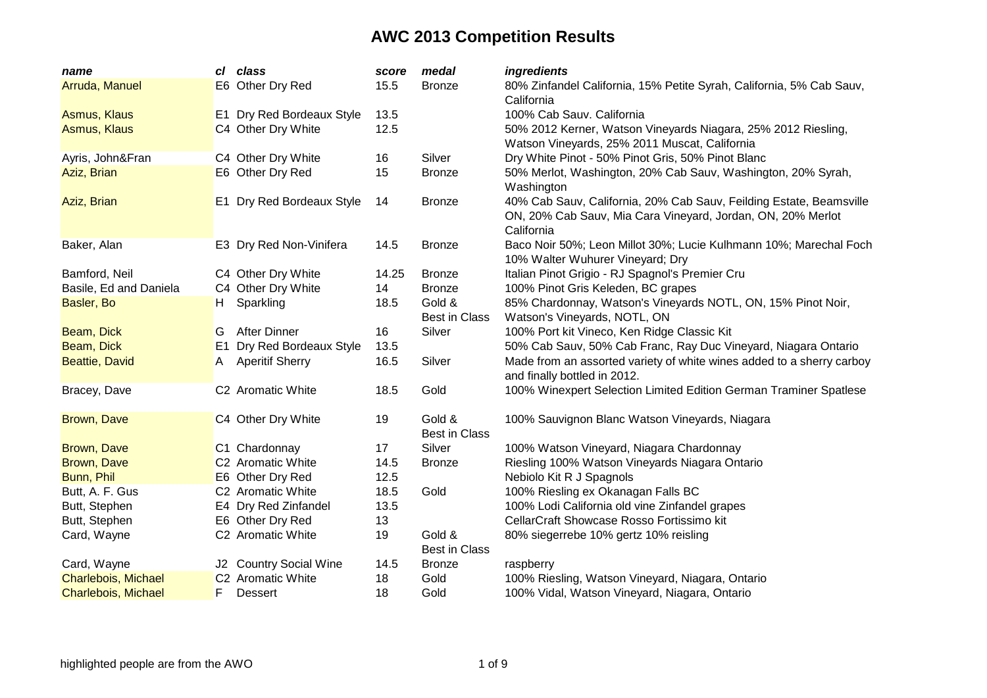| name                   |                | cl class                  | score | medal                          | ingredients                                                                                                                                      |
|------------------------|----------------|---------------------------|-------|--------------------------------|--------------------------------------------------------------------------------------------------------------------------------------------------|
| Arruda, Manuel         |                | E6 Other Dry Red          | 15.5  | <b>Bronze</b>                  | 80% Zinfandel California, 15% Petite Syrah, California, 5% Cab Sauv,<br>California                                                               |
| Asmus, Klaus           |                | E1 Dry Red Bordeaux Style | 13.5  |                                | 100% Cab Sauv. California                                                                                                                        |
| <b>Asmus, Klaus</b>    |                | C4 Other Dry White        | 12.5  |                                | 50% 2012 Kerner, Watson Vineyards Niagara, 25% 2012 Riesling,<br>Watson Vineyards, 25% 2011 Muscat, California                                   |
| Ayris, John&Fran       |                | C4 Other Dry White        | 16    | Silver                         | Dry White Pinot - 50% Pinot Gris, 50% Pinot Blanc                                                                                                |
| Aziz, Brian            |                | E6 Other Dry Red          | 15    | <b>Bronze</b>                  | 50% Merlot, Washington, 20% Cab Sauv, Washington, 20% Syrah,<br>Washington                                                                       |
| Aziz, Brian            |                | E1 Dry Red Bordeaux Style | 14    | <b>Bronze</b>                  | 40% Cab Sauv, California, 20% Cab Sauv, Feilding Estate, Beamsville<br>ON, 20% Cab Sauv, Mia Cara Vineyard, Jordan, ON, 20% Merlot<br>California |
| Baker, Alan            |                | E3 Dry Red Non-Vinifera   | 14.5  | <b>Bronze</b>                  | Baco Noir 50%; Leon Millot 30%; Lucie Kulhmann 10%; Marechal Foch<br>10% Walter Wuhurer Vineyard; Dry                                            |
| Bamford, Neil          |                | C4 Other Dry White        | 14.25 | <b>Bronze</b>                  | Italian Pinot Grigio - RJ Spagnol's Premier Cru                                                                                                  |
| Basile, Ed and Daniela |                | C4 Other Dry White        | 14    | <b>Bronze</b>                  | 100% Pinot Gris Keleden, BC grapes                                                                                                               |
| Basler, Bo             | H.             | Sparkling                 | 18.5  | Gold &                         | 85% Chardonnay, Watson's Vineyards NOTL, ON, 15% Pinot Noir,                                                                                     |
|                        |                |                           |       | <b>Best in Class</b>           | Watson's Vineyards, NOTL, ON                                                                                                                     |
| Beam, Dick             | G              | <b>After Dinner</b>       | 16    | Silver                         | 100% Port kit Vineco, Ken Ridge Classic Kit                                                                                                      |
| Beam, Dick             | E <sub>1</sub> | Dry Red Bordeaux Style    | 13.5  |                                | 50% Cab Sauv, 50% Cab Franc, Ray Duc Vineyard, Niagara Ontario                                                                                   |
| <b>Beattie, David</b>  | A              | <b>Aperitif Sherry</b>    | 16.5  | Silver                         | Made from an assorted variety of white wines added to a sherry carboy<br>and finally bottled in 2012.                                            |
| Bracey, Dave           |                | C2 Aromatic White         | 18.5  | Gold                           | 100% Winexpert Selection Limited Edition German Traminer Spatlese                                                                                |
| Brown, Dave            |                | C4 Other Dry White        | 19    | Gold &<br><b>Best in Class</b> | 100% Sauvignon Blanc Watson Vineyards, Niagara                                                                                                   |
| Brown, Dave            |                | C1 Chardonnay             | 17    | Silver                         | 100% Watson Vineyard, Niagara Chardonnay                                                                                                         |
| Brown, Dave            |                | C2 Aromatic White         | 14.5  | <b>Bronze</b>                  | Riesling 100% Watson Vineyards Niagara Ontario                                                                                                   |
| Bunn, Phil             |                | E6 Other Dry Red          | 12.5  |                                | Nebiolo Kit R J Spagnols                                                                                                                         |
| Butt, A. F. Gus        |                | C2 Aromatic White         | 18.5  | Gold                           | 100% Riesling ex Okanagan Falls BC                                                                                                               |
| Butt, Stephen          |                | E4 Dry Red Zinfandel      | 13.5  |                                | 100% Lodi California old vine Zinfandel grapes                                                                                                   |
| Butt, Stephen          |                | E6 Other Dry Red          | 13    |                                | CellarCraft Showcase Rosso Fortissimo kit                                                                                                        |
| Card, Wayne            |                | C2 Aromatic White         | 19    | Gold &<br><b>Best in Class</b> | 80% siegerrebe 10% gertz 10% reisling                                                                                                            |
| Card, Wayne            |                | J2 Country Social Wine    | 14.5  | <b>Bronze</b>                  | raspberry                                                                                                                                        |
| Charlebois, Michael    |                | C2 Aromatic White         | 18    | Gold                           | 100% Riesling, Watson Vineyard, Niagara, Ontario                                                                                                 |
| Charlebois, Michael    | F              | <b>Dessert</b>            | 18    | Gold                           | 100% Vidal, Watson Vineyard, Niagara, Ontario                                                                                                    |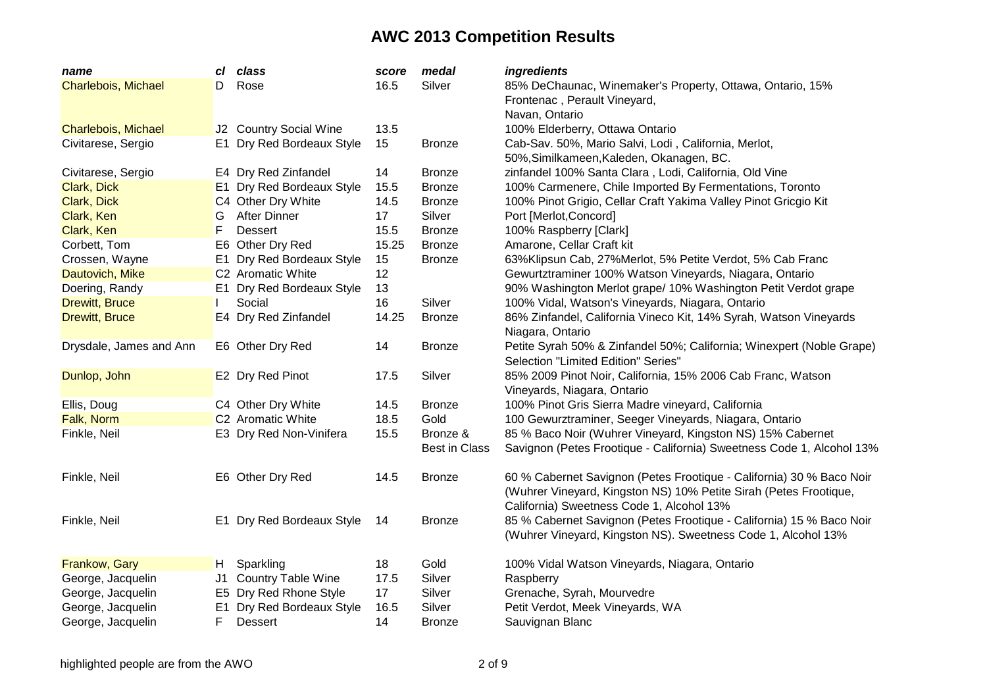| Silver<br>Rose<br>16.5<br>85% DeChaunac, Winemaker's Property, Ottawa, Ontario, 15%<br>Charlebois, Michael<br>D.<br>Frontenac, Perault Vineyard,<br>Navan, Ontario<br>100% Elderberry, Ottawa Ontario<br><b>Charlebois, Michael</b><br>J2 Country Social Wine<br>13.5<br>Civitarese, Sergio<br>E1 Dry Red Bordeaux Style<br>15<br>Cab-Sav. 50%, Mario Salvi, Lodi, California, Merlot,<br><b>Bronze</b><br>50%, Similkameen, Kaleden, Okanagen, BC.<br>E4 Dry Red Zinfandel<br>zinfandel 100% Santa Clara, Lodi, California, Old Vine<br>Civitarese, Sergio<br>14<br><b>Bronze</b><br>100% Carmenere, Chile Imported By Fermentations, Toronto<br>Clark, Dick<br>E1 Dry Red Bordeaux Style<br>15.5<br><b>Bronze</b><br>Clark, Dick<br>C4 Other Dry White<br>14.5<br>100% Pinot Grigio, Cellar Craft Yakima Valley Pinot Gricgio Kit<br><b>Bronze</b><br><b>After Dinner</b><br>Clark, Ken<br>17<br>Silver<br>Port [Merlot, Concord]<br>G<br>F<br>15.5<br>100% Raspberry [Clark]<br>Clark, Ken<br><b>Dessert</b><br><b>Bronze</b><br>15.25<br>E6 Other Dry Red<br>Amarone, Cellar Craft kit<br>Corbett, Tom<br><b>Bronze</b><br>Crossen, Wayne<br>E1 Dry Red Bordeaux Style<br>15<br>63%Klipsun Cab, 27%Merlot, 5% Petite Verdot, 5% Cab Franc<br><b>Bronze</b><br>12<br>C2 Aromatic White<br>Gewurtztraminer 100% Watson Vineyards, Niagara, Ontario<br>Dautovich, Mike<br>90% Washington Merlot grape/ 10% Washington Petit Verdot grape<br>E1 Dry Red Bordeaux Style<br>13<br>Doering, Randy<br>Silver<br>100% Vidal, Watson's Vineyards, Niagara, Ontario<br><b>Drewitt, Bruce</b><br>Social<br>16<br>E4 Dry Red Zinfandel<br>14.25<br>86% Zinfandel, California Vineco Kit, 14% Syrah, Watson Vineyards<br><b>Drewitt, Bruce</b><br><b>Bronze</b> | name | сI | class | score | medal | ingredients |
|-------------------------------------------------------------------------------------------------------------------------------------------------------------------------------------------------------------------------------------------------------------------------------------------------------------------------------------------------------------------------------------------------------------------------------------------------------------------------------------------------------------------------------------------------------------------------------------------------------------------------------------------------------------------------------------------------------------------------------------------------------------------------------------------------------------------------------------------------------------------------------------------------------------------------------------------------------------------------------------------------------------------------------------------------------------------------------------------------------------------------------------------------------------------------------------------------------------------------------------------------------------------------------------------------------------------------------------------------------------------------------------------------------------------------------------------------------------------------------------------------------------------------------------------------------------------------------------------------------------------------------------------------------------------------------------------------------------------------------------------------------|------|----|-------|-------|-------|-------------|
|                                                                                                                                                                                                                                                                                                                                                                                                                                                                                                                                                                                                                                                                                                                                                                                                                                                                                                                                                                                                                                                                                                                                                                                                                                                                                                                                                                                                                                                                                                                                                                                                                                                                                                                                                       |      |    |       |       |       |             |
|                                                                                                                                                                                                                                                                                                                                                                                                                                                                                                                                                                                                                                                                                                                                                                                                                                                                                                                                                                                                                                                                                                                                                                                                                                                                                                                                                                                                                                                                                                                                                                                                                                                                                                                                                       |      |    |       |       |       |             |
|                                                                                                                                                                                                                                                                                                                                                                                                                                                                                                                                                                                                                                                                                                                                                                                                                                                                                                                                                                                                                                                                                                                                                                                                                                                                                                                                                                                                                                                                                                                                                                                                                                                                                                                                                       |      |    |       |       |       |             |
|                                                                                                                                                                                                                                                                                                                                                                                                                                                                                                                                                                                                                                                                                                                                                                                                                                                                                                                                                                                                                                                                                                                                                                                                                                                                                                                                                                                                                                                                                                                                                                                                                                                                                                                                                       |      |    |       |       |       |             |
|                                                                                                                                                                                                                                                                                                                                                                                                                                                                                                                                                                                                                                                                                                                                                                                                                                                                                                                                                                                                                                                                                                                                                                                                                                                                                                                                                                                                                                                                                                                                                                                                                                                                                                                                                       |      |    |       |       |       |             |
|                                                                                                                                                                                                                                                                                                                                                                                                                                                                                                                                                                                                                                                                                                                                                                                                                                                                                                                                                                                                                                                                                                                                                                                                                                                                                                                                                                                                                                                                                                                                                                                                                                                                                                                                                       |      |    |       |       |       |             |
|                                                                                                                                                                                                                                                                                                                                                                                                                                                                                                                                                                                                                                                                                                                                                                                                                                                                                                                                                                                                                                                                                                                                                                                                                                                                                                                                                                                                                                                                                                                                                                                                                                                                                                                                                       |      |    |       |       |       |             |
|                                                                                                                                                                                                                                                                                                                                                                                                                                                                                                                                                                                                                                                                                                                                                                                                                                                                                                                                                                                                                                                                                                                                                                                                                                                                                                                                                                                                                                                                                                                                                                                                                                                                                                                                                       |      |    |       |       |       |             |
|                                                                                                                                                                                                                                                                                                                                                                                                                                                                                                                                                                                                                                                                                                                                                                                                                                                                                                                                                                                                                                                                                                                                                                                                                                                                                                                                                                                                                                                                                                                                                                                                                                                                                                                                                       |      |    |       |       |       |             |
|                                                                                                                                                                                                                                                                                                                                                                                                                                                                                                                                                                                                                                                                                                                                                                                                                                                                                                                                                                                                                                                                                                                                                                                                                                                                                                                                                                                                                                                                                                                                                                                                                                                                                                                                                       |      |    |       |       |       |             |
|                                                                                                                                                                                                                                                                                                                                                                                                                                                                                                                                                                                                                                                                                                                                                                                                                                                                                                                                                                                                                                                                                                                                                                                                                                                                                                                                                                                                                                                                                                                                                                                                                                                                                                                                                       |      |    |       |       |       |             |
|                                                                                                                                                                                                                                                                                                                                                                                                                                                                                                                                                                                                                                                                                                                                                                                                                                                                                                                                                                                                                                                                                                                                                                                                                                                                                                                                                                                                                                                                                                                                                                                                                                                                                                                                                       |      |    |       |       |       |             |
|                                                                                                                                                                                                                                                                                                                                                                                                                                                                                                                                                                                                                                                                                                                                                                                                                                                                                                                                                                                                                                                                                                                                                                                                                                                                                                                                                                                                                                                                                                                                                                                                                                                                                                                                                       |      |    |       |       |       |             |
|                                                                                                                                                                                                                                                                                                                                                                                                                                                                                                                                                                                                                                                                                                                                                                                                                                                                                                                                                                                                                                                                                                                                                                                                                                                                                                                                                                                                                                                                                                                                                                                                                                                                                                                                                       |      |    |       |       |       |             |
|                                                                                                                                                                                                                                                                                                                                                                                                                                                                                                                                                                                                                                                                                                                                                                                                                                                                                                                                                                                                                                                                                                                                                                                                                                                                                                                                                                                                                                                                                                                                                                                                                                                                                                                                                       |      |    |       |       |       |             |
|                                                                                                                                                                                                                                                                                                                                                                                                                                                                                                                                                                                                                                                                                                                                                                                                                                                                                                                                                                                                                                                                                                                                                                                                                                                                                                                                                                                                                                                                                                                                                                                                                                                                                                                                                       |      |    |       |       |       |             |
|                                                                                                                                                                                                                                                                                                                                                                                                                                                                                                                                                                                                                                                                                                                                                                                                                                                                                                                                                                                                                                                                                                                                                                                                                                                                                                                                                                                                                                                                                                                                                                                                                                                                                                                                                       |      |    |       |       |       |             |
| Niagara, Ontario                                                                                                                                                                                                                                                                                                                                                                                                                                                                                                                                                                                                                                                                                                                                                                                                                                                                                                                                                                                                                                                                                                                                                                                                                                                                                                                                                                                                                                                                                                                                                                                                                                                                                                                                      |      |    |       |       |       |             |
| E6 Other Dry Red<br>Petite Syrah 50% & Zinfandel 50%; California; Winexpert (Noble Grape)<br>Drysdale, James and Ann<br>14<br><b>Bronze</b>                                                                                                                                                                                                                                                                                                                                                                                                                                                                                                                                                                                                                                                                                                                                                                                                                                                                                                                                                                                                                                                                                                                                                                                                                                                                                                                                                                                                                                                                                                                                                                                                           |      |    |       |       |       |             |
| Selection "Limited Edition" Series"                                                                                                                                                                                                                                                                                                                                                                                                                                                                                                                                                                                                                                                                                                                                                                                                                                                                                                                                                                                                                                                                                                                                                                                                                                                                                                                                                                                                                                                                                                                                                                                                                                                                                                                   |      |    |       |       |       |             |
| Silver<br>85% 2009 Pinot Noir, California, 15% 2006 Cab Franc, Watson<br>Dunlop, John<br>E2 Dry Red Pinot<br>17.5                                                                                                                                                                                                                                                                                                                                                                                                                                                                                                                                                                                                                                                                                                                                                                                                                                                                                                                                                                                                                                                                                                                                                                                                                                                                                                                                                                                                                                                                                                                                                                                                                                     |      |    |       |       |       |             |
| Vineyards, Niagara, Ontario                                                                                                                                                                                                                                                                                                                                                                                                                                                                                                                                                                                                                                                                                                                                                                                                                                                                                                                                                                                                                                                                                                                                                                                                                                                                                                                                                                                                                                                                                                                                                                                                                                                                                                                           |      |    |       |       |       |             |
| 100% Pinot Gris Sierra Madre vineyard, California<br>Ellis, Doug<br>C4 Other Dry White<br>14.5<br><b>Bronze</b>                                                                                                                                                                                                                                                                                                                                                                                                                                                                                                                                                                                                                                                                                                                                                                                                                                                                                                                                                                                                                                                                                                                                                                                                                                                                                                                                                                                                                                                                                                                                                                                                                                       |      |    |       |       |       |             |
| C2 Aromatic White<br>Falk, Norm<br>18.5<br>Gold<br>100 Gewurztraminer, Seeger Vineyards, Niagara, Ontario                                                                                                                                                                                                                                                                                                                                                                                                                                                                                                                                                                                                                                                                                                                                                                                                                                                                                                                                                                                                                                                                                                                                                                                                                                                                                                                                                                                                                                                                                                                                                                                                                                             |      |    |       |       |       |             |
| 15.5<br>85 % Baco Noir (Wuhrer Vineyard, Kingston NS) 15% Cabernet<br>Finkle, Neil<br>E3 Dry Red Non-Vinifera<br>Bronze &                                                                                                                                                                                                                                                                                                                                                                                                                                                                                                                                                                                                                                                                                                                                                                                                                                                                                                                                                                                                                                                                                                                                                                                                                                                                                                                                                                                                                                                                                                                                                                                                                             |      |    |       |       |       |             |
| Best in Class<br>Savignon (Petes Frootique - California) Sweetness Code 1, Alcohol 13%                                                                                                                                                                                                                                                                                                                                                                                                                                                                                                                                                                                                                                                                                                                                                                                                                                                                                                                                                                                                                                                                                                                                                                                                                                                                                                                                                                                                                                                                                                                                                                                                                                                                |      |    |       |       |       |             |
|                                                                                                                                                                                                                                                                                                                                                                                                                                                                                                                                                                                                                                                                                                                                                                                                                                                                                                                                                                                                                                                                                                                                                                                                                                                                                                                                                                                                                                                                                                                                                                                                                                                                                                                                                       |      |    |       |       |       |             |
| E6 Other Dry Red<br>Finkle, Neil<br>14.5<br><b>Bronze</b><br>60 % Cabernet Savignon (Petes Frootique - California) 30 % Baco Noir                                                                                                                                                                                                                                                                                                                                                                                                                                                                                                                                                                                                                                                                                                                                                                                                                                                                                                                                                                                                                                                                                                                                                                                                                                                                                                                                                                                                                                                                                                                                                                                                                     |      |    |       |       |       |             |
| (Wuhrer Vineyard, Kingston NS) 10% Petite Sirah (Petes Frootique,                                                                                                                                                                                                                                                                                                                                                                                                                                                                                                                                                                                                                                                                                                                                                                                                                                                                                                                                                                                                                                                                                                                                                                                                                                                                                                                                                                                                                                                                                                                                                                                                                                                                                     |      |    |       |       |       |             |
| California) Sweetness Code 1, Alcohol 13%                                                                                                                                                                                                                                                                                                                                                                                                                                                                                                                                                                                                                                                                                                                                                                                                                                                                                                                                                                                                                                                                                                                                                                                                                                                                                                                                                                                                                                                                                                                                                                                                                                                                                                             |      |    |       |       |       |             |
| E1 Dry Red Bordeaux Style<br>85 % Cabernet Savignon (Petes Frootique - California) 15 % Baco Noir<br>Finkle, Neil<br>14<br><b>Bronze</b>                                                                                                                                                                                                                                                                                                                                                                                                                                                                                                                                                                                                                                                                                                                                                                                                                                                                                                                                                                                                                                                                                                                                                                                                                                                                                                                                                                                                                                                                                                                                                                                                              |      |    |       |       |       |             |
| (Wuhrer Vineyard, Kingston NS). Sweetness Code 1, Alcohol 13%                                                                                                                                                                                                                                                                                                                                                                                                                                                                                                                                                                                                                                                                                                                                                                                                                                                                                                                                                                                                                                                                                                                                                                                                                                                                                                                                                                                                                                                                                                                                                                                                                                                                                         |      |    |       |       |       |             |
|                                                                                                                                                                                                                                                                                                                                                                                                                                                                                                                                                                                                                                                                                                                                                                                                                                                                                                                                                                                                                                                                                                                                                                                                                                                                                                                                                                                                                                                                                                                                                                                                                                                                                                                                                       |      |    |       |       |       |             |
| Frankow, Gary<br>18<br>Gold<br>Sparkling<br>100% Vidal Watson Vineyards, Niagara, Ontario<br>H                                                                                                                                                                                                                                                                                                                                                                                                                                                                                                                                                                                                                                                                                                                                                                                                                                                                                                                                                                                                                                                                                                                                                                                                                                                                                                                                                                                                                                                                                                                                                                                                                                                        |      |    |       |       |       |             |
| J1 Country Table Wine<br>17.5<br>Silver<br>George, Jacquelin<br>Raspberry                                                                                                                                                                                                                                                                                                                                                                                                                                                                                                                                                                                                                                                                                                                                                                                                                                                                                                                                                                                                                                                                                                                                                                                                                                                                                                                                                                                                                                                                                                                                                                                                                                                                             |      |    |       |       |       |             |
| George, Jacquelin<br>E5 Dry Red Rhone Style<br>17<br>Silver<br>Grenache, Syrah, Mourvedre                                                                                                                                                                                                                                                                                                                                                                                                                                                                                                                                                                                                                                                                                                                                                                                                                                                                                                                                                                                                                                                                                                                                                                                                                                                                                                                                                                                                                                                                                                                                                                                                                                                             |      |    |       |       |       |             |
| Silver<br>George, Jacquelin<br>E <sub>1</sub><br>Dry Red Bordeaux Style<br>16.5<br>Petit Verdot, Meek Vineyards, WA                                                                                                                                                                                                                                                                                                                                                                                                                                                                                                                                                                                                                                                                                                                                                                                                                                                                                                                                                                                                                                                                                                                                                                                                                                                                                                                                                                                                                                                                                                                                                                                                                                   |      |    |       |       |       |             |
| F<br>14<br>George, Jacquelin<br><b>Dessert</b><br>Sauvignan Blanc<br><b>Bronze</b>                                                                                                                                                                                                                                                                                                                                                                                                                                                                                                                                                                                                                                                                                                                                                                                                                                                                                                                                                                                                                                                                                                                                                                                                                                                                                                                                                                                                                                                                                                                                                                                                                                                                    |      |    |       |       |       |             |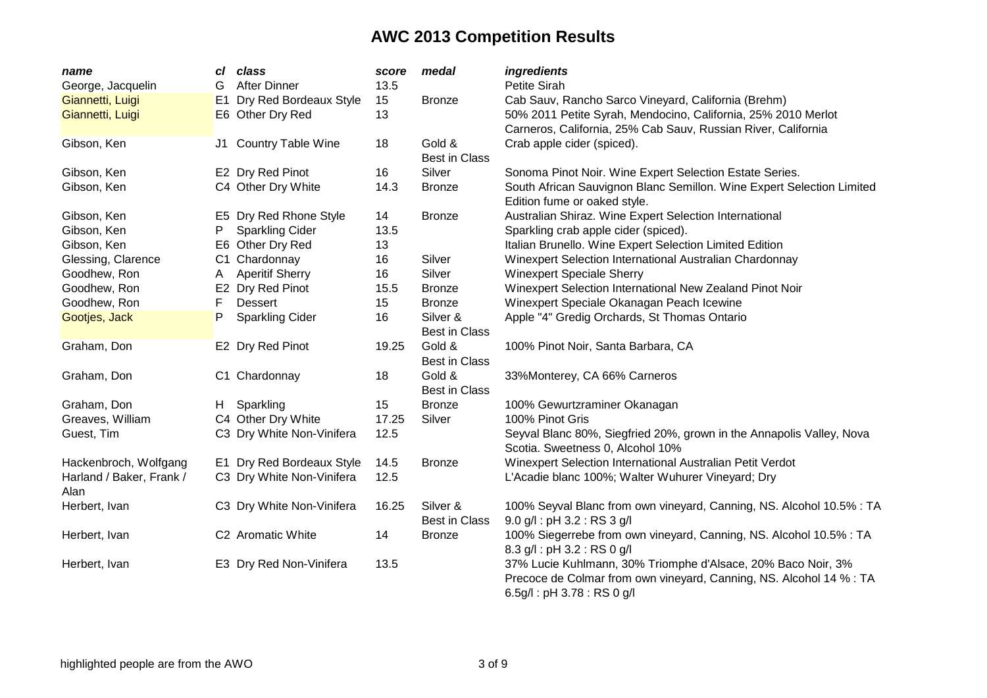| name                             | сI             | class                     | score | medal                            | ingredients                                                                                                                                                      |
|----------------------------------|----------------|---------------------------|-------|----------------------------------|------------------------------------------------------------------------------------------------------------------------------------------------------------------|
| George, Jacquelin                | G              | <b>After Dinner</b>       | 13.5  |                                  | Petite Sirah                                                                                                                                                     |
| Giannetti, Luigi                 | E <sub>1</sub> | Dry Red Bordeaux Style    | 15    | <b>Bronze</b>                    | Cab Sauv, Rancho Sarco Vineyard, California (Brehm)                                                                                                              |
| Giannetti, Luigi                 |                | E6 Other Dry Red          | 13    |                                  | 50% 2011 Petite Syrah, Mendocino, California, 25% 2010 Merlot                                                                                                    |
|                                  |                |                           |       |                                  | Carneros, California, 25% Cab Sauv, Russian River, California                                                                                                    |
| Gibson, Ken                      |                | J1 Country Table Wine     | 18    | Gold &                           | Crab apple cider (spiced).                                                                                                                                       |
|                                  |                |                           |       | <b>Best in Class</b>             |                                                                                                                                                                  |
| Gibson, Ken                      |                | E2 Dry Red Pinot          | 16    | Silver                           | Sonoma Pinot Noir. Wine Expert Selection Estate Series.                                                                                                          |
| Gibson, Ken                      |                | C4 Other Dry White        | 14.3  | <b>Bronze</b>                    | South African Sauvignon Blanc Semillon. Wine Expert Selection Limited<br>Edition fume or oaked style.                                                            |
| Gibson, Ken                      |                | E5 Dry Red Rhone Style    | 14    | <b>Bronze</b>                    | Australian Shiraz. Wine Expert Selection International                                                                                                           |
| Gibson, Ken                      | P              | <b>Sparkling Cider</b>    | 13.5  |                                  | Sparkling crab apple cider (spiced).                                                                                                                             |
| Gibson, Ken                      |                | E6 Other Dry Red          | 13    |                                  | Italian Brunello. Wine Expert Selection Limited Edition                                                                                                          |
| Glessing, Clarence               |                | C1 Chardonnay             | 16    | Silver                           | Winexpert Selection International Australian Chardonnay                                                                                                          |
| Goodhew, Ron                     | A              | <b>Aperitif Sherry</b>    | 16    | Silver                           | <b>Winexpert Speciale Sherry</b>                                                                                                                                 |
| Goodhew, Ron                     |                | E2 Dry Red Pinot          | 15.5  | <b>Bronze</b>                    | Winexpert Selection International New Zealand Pinot Noir                                                                                                         |
| Goodhew, Ron                     | F              | <b>Dessert</b>            | 15    | <b>Bronze</b>                    | Winexpert Speciale Okanagan Peach Icewine                                                                                                                        |
| Gootjes, Jack                    | Ρ              | <b>Sparkling Cider</b>    | 16    | Silver &<br><b>Best in Class</b> | Apple "4" Gredig Orchards, St Thomas Ontario                                                                                                                     |
| Graham, Don                      |                | E2 Dry Red Pinot          | 19.25 | Gold &<br><b>Best in Class</b>   | 100% Pinot Noir, Santa Barbara, CA                                                                                                                               |
| Graham, Don                      |                | C1 Chardonnay             | 18    | Gold &<br><b>Best in Class</b>   | 33%Monterey, CA 66% Carneros                                                                                                                                     |
| Graham, Don                      | H.             | Sparkling                 | 15    | <b>Bronze</b>                    | 100% Gewurtzraminer Okanagan                                                                                                                                     |
| Greaves, William                 |                | C4 Other Dry White        | 17.25 | Silver                           | 100% Pinot Gris                                                                                                                                                  |
| Guest, Tim                       |                | C3 Dry White Non-Vinifera | 12.5  |                                  | Seyval Blanc 80%, Siegfried 20%, grown in the Annapolis Valley, Nova<br>Scotia. Sweetness 0, Alcohol 10%                                                         |
| Hackenbroch, Wolfgang            |                | E1 Dry Red Bordeaux Style | 14.5  | <b>Bronze</b>                    | Winexpert Selection International Australian Petit Verdot                                                                                                        |
| Harland / Baker, Frank /<br>Alan |                | C3 Dry White Non-Vinifera | 12.5  |                                  | L'Acadie blanc 100%; Walter Wuhurer Vineyard; Dry                                                                                                                |
| Herbert, Ivan                    |                | C3 Dry White Non-Vinifera | 16.25 | Silver &<br><b>Best in Class</b> | 100% Seyval Blanc from own vineyard, Canning, NS. Alcohol 10.5% : TA<br>9.0 g/l: pH 3.2: RS 3 g/l                                                                |
| Herbert, Ivan                    |                | C2 Aromatic White         | 14    | <b>Bronze</b>                    | 100% Siegerrebe from own vineyard, Canning, NS. Alcohol 10.5% : TA<br>8.3 g/l: pH 3.2: RS 0 g/l                                                                  |
| Herbert, Ivan                    |                | E3 Dry Red Non-Vinifera   | 13.5  |                                  | 37% Lucie Kuhlmann, 30% Triomphe d'Alsace, 20% Baco Noir, 3%<br>Precoce de Colmar from own vineyard, Canning, NS. Alcohol 14 % : TA<br>6.5g/l: pH 3.78: RS 0 g/l |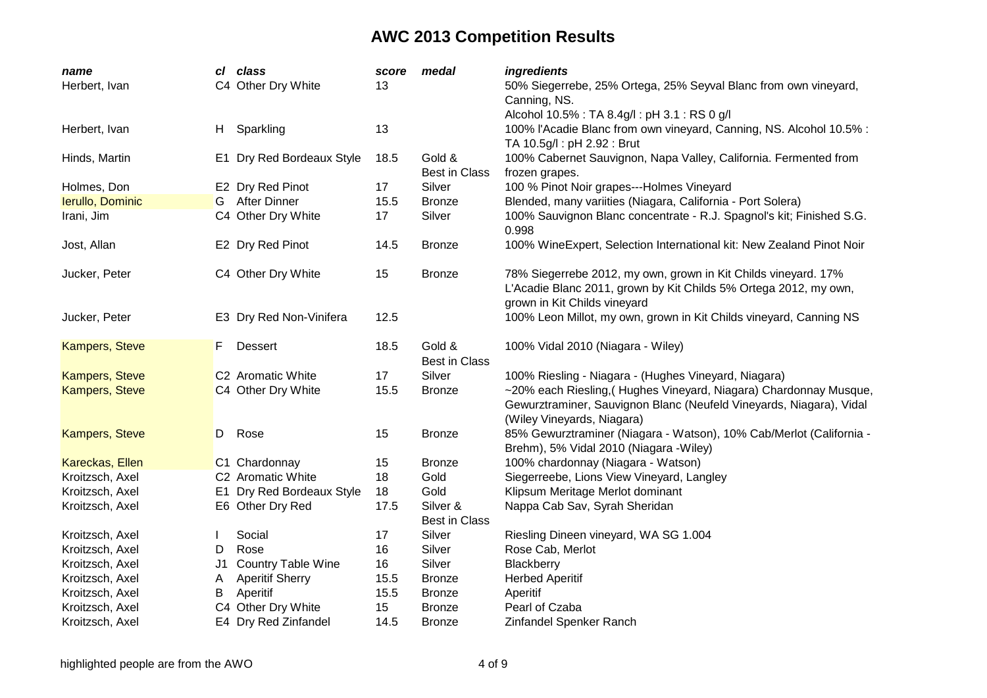| name                  |    | cl class                  | score | medal                            | ingredients                                                                                                                                                            |
|-----------------------|----|---------------------------|-------|----------------------------------|------------------------------------------------------------------------------------------------------------------------------------------------------------------------|
| Herbert, Ivan         |    | C4 Other Dry White        | 13    |                                  | 50% Siegerrebe, 25% Ortega, 25% Seyval Blanc from own vineyard,<br>Canning, NS.                                                                                        |
|                       |    |                           |       |                                  | Alcohol 10.5% : TA 8.4g/l : pH 3.1 : RS 0 g/l                                                                                                                          |
| Herbert, Ivan         | H. | Sparkling                 | 13    |                                  | 100% l'Acadie Blanc from own vineyard, Canning, NS. Alcohol 10.5% :<br>TA 10.5g/l: pH 2.92: Brut                                                                       |
| Hinds, Martin         |    | E1 Dry Red Bordeaux Style | 18.5  | Gold &<br><b>Best in Class</b>   | 100% Cabernet Sauvignon, Napa Valley, California. Fermented from<br>frozen grapes.                                                                                     |
| Holmes, Don           |    | E2 Dry Red Pinot          | 17    | Silver                           | 100 % Pinot Noir grapes---Holmes Vineyard                                                                                                                              |
| Ierullo, Dominic      |    | G After Dinner            | 15.5  | <b>Bronze</b>                    | Blended, many variities (Niagara, California - Port Solera)                                                                                                            |
| Irani, Jim            |    | C4 Other Dry White        | 17    | Silver                           | 100% Sauvignon Blanc concentrate - R.J. Spagnol's kit; Finished S.G.<br>0.998                                                                                          |
| Jost, Allan           |    | E2 Dry Red Pinot          | 14.5  | <b>Bronze</b>                    | 100% WineExpert, Selection International kit: New Zealand Pinot Noir                                                                                                   |
| Jucker, Peter         |    | C4 Other Dry White        | 15    | <b>Bronze</b>                    | 78% Siegerrebe 2012, my own, grown in Kit Childs vineyard. 17%<br>L'Acadie Blanc 2011, grown by Kit Childs 5% Ortega 2012, my own,<br>grown in Kit Childs vineyard     |
| Jucker, Peter         |    | E3 Dry Red Non-Vinifera   | 12.5  |                                  | 100% Leon Millot, my own, grown in Kit Childs vineyard, Canning NS                                                                                                     |
| <b>Kampers, Steve</b> | F. | <b>Dessert</b>            | 18.5  | Gold &<br><b>Best in Class</b>   | 100% Vidal 2010 (Niagara - Wiley)                                                                                                                                      |
| <b>Kampers, Steve</b> |    | C2 Aromatic White         | 17    | Silver                           | 100% Riesling - Niagara - (Hughes Vineyard, Niagara)                                                                                                                   |
| <b>Kampers, Steve</b> |    | C4 Other Dry White        | 15.5  | <b>Bronze</b>                    | ~20% each Riesling, (Hughes Vineyard, Niagara) Chardonnay Musque,<br>Gewurztraminer, Sauvignon Blanc (Neufeld Vineyards, Niagara), Vidal<br>(Wiley Vineyards, Niagara) |
| Kampers, Steve        | D  | Rose                      | 15    | <b>Bronze</b>                    | 85% Gewurztraminer (Niagara - Watson), 10% Cab/Merlot (California -<br>Brehm), 5% Vidal 2010 (Niagara - Wiley)                                                         |
| Kareckas, Ellen       |    | C1 Chardonnay             | 15    | <b>Bronze</b>                    | 100% chardonnay (Niagara - Watson)                                                                                                                                     |
| Kroitzsch, Axel       |    | C2 Aromatic White         | 18    | Gold                             | Siegerreebe, Lions View Vineyard, Langley                                                                                                                              |
| Kroitzsch, Axel       |    | E1 Dry Red Bordeaux Style | 18    | Gold                             | Klipsum Meritage Merlot dominant                                                                                                                                       |
| Kroitzsch, Axel       |    | E6 Other Dry Red          | 17.5  | Silver &<br><b>Best in Class</b> | Nappa Cab Sav, Syrah Sheridan                                                                                                                                          |
| Kroitzsch, Axel       |    | Social                    | 17    | Silver                           | Riesling Dineen vineyard, WA SG 1.004                                                                                                                                  |
| Kroitzsch, Axel       | D  | Rose                      | 16    | Silver                           | Rose Cab, Merlot                                                                                                                                                       |
| Kroitzsch, Axel       | J1 | <b>Country Table Wine</b> | 16    | Silver                           | Blackberry                                                                                                                                                             |
| Kroitzsch, Axel       | A  | <b>Aperitif Sherry</b>    | 15.5  | <b>Bronze</b>                    | <b>Herbed Aperitif</b>                                                                                                                                                 |
| Kroitzsch, Axel       | Β  | Aperitif                  | 15.5  | <b>Bronze</b>                    | Aperitif                                                                                                                                                               |
| Kroitzsch, Axel       |    | C4 Other Dry White        | 15    | <b>Bronze</b>                    | Pearl of Czaba                                                                                                                                                         |
| Kroitzsch, Axel       |    | E4 Dry Red Zinfandel      | 14.5  | <b>Bronze</b>                    | Zinfandel Spenker Ranch                                                                                                                                                |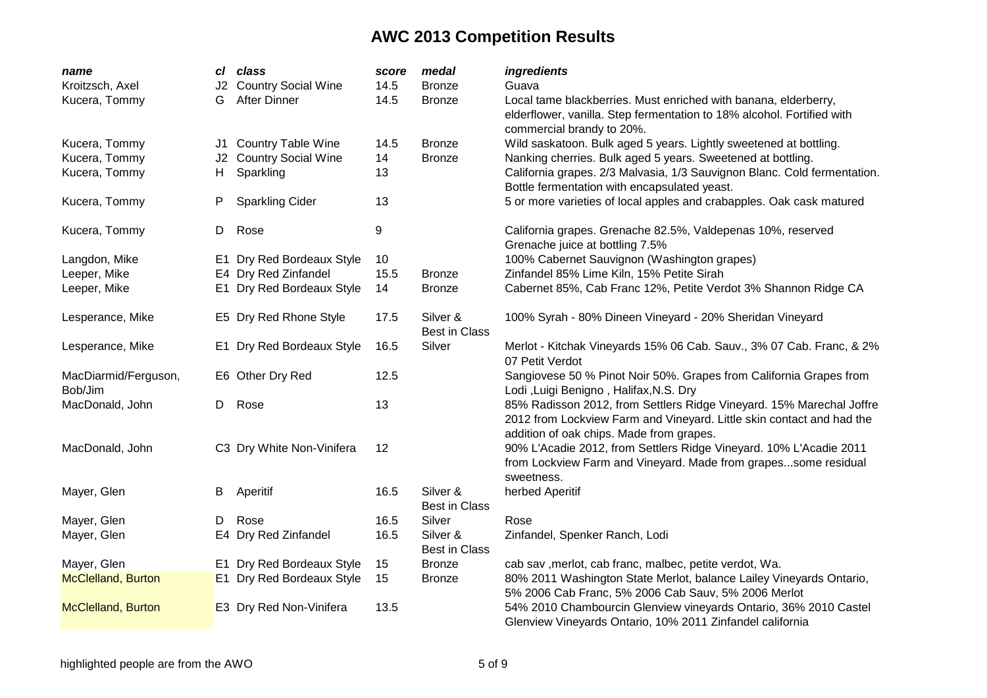| name                            | cl  | class                      | score | medal                            | ingredients                                                                                                                                                                               |
|---------------------------------|-----|----------------------------|-------|----------------------------------|-------------------------------------------------------------------------------------------------------------------------------------------------------------------------------------------|
| Kroitzsch, Axel                 | J2. | <b>Country Social Wine</b> | 14.5  | <b>Bronze</b>                    | Guava                                                                                                                                                                                     |
| Kucera, Tommy                   | G   | <b>After Dinner</b>        | 14.5  | <b>Bronze</b>                    | Local tame blackberries. Must enriched with banana, elderberry,<br>elderflower, vanilla. Step fermentation to 18% alcohol. Fortified with<br>commercial brandy to 20%.                    |
| Kucera, Tommy                   | J1  | <b>Country Table Wine</b>  | 14.5  | <b>Bronze</b>                    | Wild saskatoon. Bulk aged 5 years. Lightly sweetened at bottling.                                                                                                                         |
| Kucera, Tommy                   | J2  | <b>Country Social Wine</b> | 14    | <b>Bronze</b>                    | Nanking cherries. Bulk aged 5 years. Sweetened at bottling.                                                                                                                               |
| Kucera, Tommy                   | H.  | Sparkling                  | 13    |                                  | California grapes. 2/3 Malvasia, 1/3 Sauvignon Blanc. Cold fermentation.<br>Bottle fermentation with encapsulated yeast.                                                                  |
| Kucera, Tommy                   | P   | <b>Sparkling Cider</b>     | 13    |                                  | 5 or more varieties of local apples and crabapples. Oak cask matured                                                                                                                      |
| Kucera, Tommy                   | D   | Rose                       | 9     |                                  | California grapes. Grenache 82.5%, Valdepenas 10%, reserved<br>Grenache juice at bottling 7.5%                                                                                            |
| Langdon, Mike                   |     | E1 Dry Red Bordeaux Style  | 10    |                                  | 100% Cabernet Sauvignon (Washington grapes)                                                                                                                                               |
| Leeper, Mike                    |     | E4 Dry Red Zinfandel       | 15.5  | <b>Bronze</b>                    | Zinfandel 85% Lime Kiln, 15% Petite Sirah                                                                                                                                                 |
| Leeper, Mike                    |     | E1 Dry Red Bordeaux Style  | 14    | <b>Bronze</b>                    | Cabernet 85%, Cab Franc 12%, Petite Verdot 3% Shannon Ridge CA                                                                                                                            |
| Lesperance, Mike                |     | E5 Dry Red Rhone Style     | 17.5  | Silver &<br><b>Best in Class</b> | 100% Syrah - 80% Dineen Vineyard - 20% Sheridan Vineyard                                                                                                                                  |
| Lesperance, Mike                |     | E1 Dry Red Bordeaux Style  | 16.5  | Silver                           | Merlot - Kitchak Vineyards 15% 06 Cab. Sauv., 3% 07 Cab. Franc, & 2%<br>07 Petit Verdot                                                                                                   |
| MacDiarmid/Ferguson,<br>Bob/Jim |     | E6 Other Dry Red           | 12.5  |                                  | Sangiovese 50 % Pinot Noir 50%. Grapes from California Grapes from<br>Lodi , Luigi Benigno, Halifax, N.S. Dry                                                                             |
| MacDonald, John                 | D   | Rose                       | 13    |                                  | 85% Radisson 2012, from Settlers Ridge Vineyard. 15% Marechal Joffre<br>2012 from Lockview Farm and Vineyard. Little skin contact and had the<br>addition of oak chips. Made from grapes. |
| MacDonald, John                 |     | C3 Dry White Non-Vinifera  | 12    |                                  | 90% L'Acadie 2012, from Settlers Ridge Vineyard. 10% L'Acadie 2011<br>from Lockview Farm and Vineyard. Made from grapessome residual<br>sweetness.                                        |
| Mayer, Glen                     | B   | Aperitif                   | 16.5  | Silver &<br><b>Best in Class</b> | herbed Aperitif                                                                                                                                                                           |
| Mayer, Glen                     | D   | Rose                       | 16.5  | Silver                           | Rose                                                                                                                                                                                      |
| Mayer, Glen                     |     | E4 Dry Red Zinfandel       | 16.5  | Silver &<br><b>Best in Class</b> | Zinfandel, Spenker Ranch, Lodi                                                                                                                                                            |
| Mayer, Glen                     |     | E1 Dry Red Bordeaux Style  | 15    | <b>Bronze</b>                    | cab sav , merlot, cab franc, malbec, petite verdot, Wa.                                                                                                                                   |
| <b>McClelland, Burton</b>       |     | E1 Dry Red Bordeaux Style  | 15    | <b>Bronze</b>                    | 80% 2011 Washington State Merlot, balance Lailey Vineyards Ontario,<br>5% 2006 Cab Franc, 5% 2006 Cab Sauv, 5% 2006 Merlot                                                                |
| <b>McClelland, Burton</b>       |     | E3 Dry Red Non-Vinifera    | 13.5  |                                  | 54% 2010 Chambourcin Glenview vineyards Ontario, 36% 2010 Castel<br>Glenview Vineyards Ontario, 10% 2011 Zinfandel california                                                             |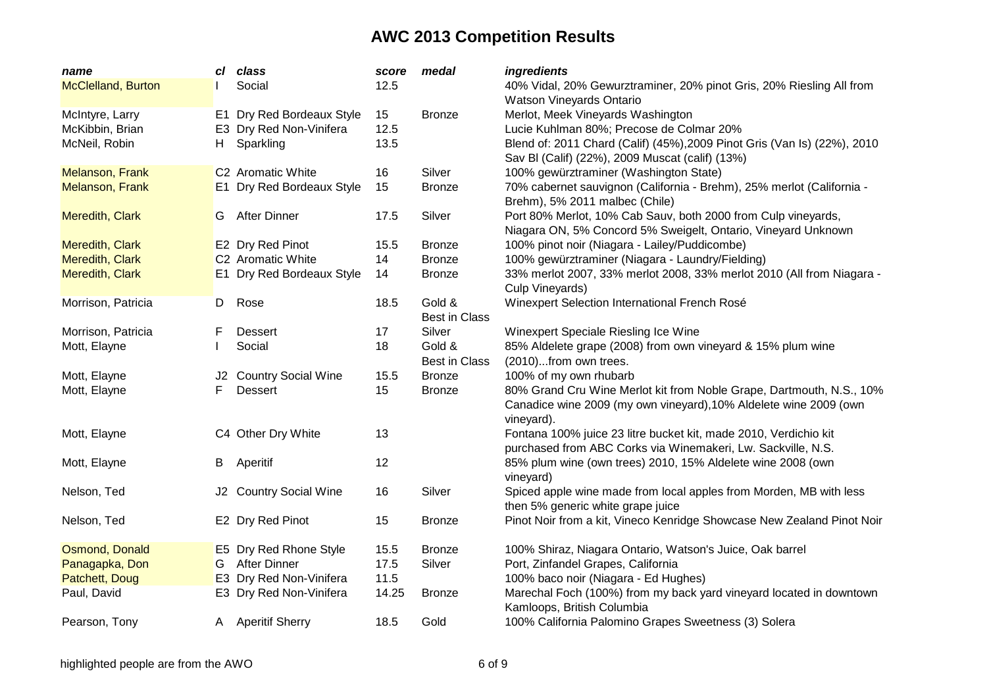| name                      | cl | class                     | score | medal                | ingredients                                                              |
|---------------------------|----|---------------------------|-------|----------------------|--------------------------------------------------------------------------|
| <b>McClelland, Burton</b> |    | Social                    | 12.5  |                      | 40% Vidal, 20% Gewurztraminer, 20% pinot Gris, 20% Riesling All from     |
|                           |    |                           |       |                      | Watson Vineyards Ontario                                                 |
| McIntyre, Larry           |    | E1 Dry Red Bordeaux Style | 15    | <b>Bronze</b>        | Merlot, Meek Vineyards Washington                                        |
| McKibbin, Brian           |    | E3 Dry Red Non-Vinifera   | 12.5  |                      | Lucie Kuhlman 80%; Precose de Colmar 20%                                 |
| McNeil, Robin             | H  | Sparkling                 | 13.5  |                      | Blend of: 2011 Chard (Calif) (45%), 2009 Pinot Gris (Van Is) (22%), 2010 |
|                           |    |                           |       |                      | Sav BI (Calif) (22%), 2009 Muscat (calif) (13%)                          |
| Melanson, Frank           |    | C2 Aromatic White         | 16    | Silver               | 100% gewürztraminer (Washington State)                                   |
| <b>Melanson, Frank</b>    |    | E1 Dry Red Bordeaux Style | 15    | <b>Bronze</b>        | 70% cabernet sauvignon (California - Brehm), 25% merlot (California -    |
|                           |    |                           |       |                      | Brehm), 5% 2011 malbec (Chile)                                           |
| Meredith, Clark           | G  | <b>After Dinner</b>       | 17.5  | Silver               | Port 80% Merlot, 10% Cab Sauv, both 2000 from Culp vineyards,            |
|                           |    |                           |       |                      | Niagara ON, 5% Concord 5% Sweigelt, Ontario, Vineyard Unknown            |
| Meredith, Clark           |    | E2 Dry Red Pinot          | 15.5  | <b>Bronze</b>        | 100% pinot noir (Niagara - Lailey/Puddicombe)                            |
| Meredith, Clark           |    | C2 Aromatic White         | 14    | <b>Bronze</b>        | 100% gewürztraminer (Niagara - Laundry/Fielding)                         |
| Meredith, Clark           |    | E1 Dry Red Bordeaux Style | 14    | <b>Bronze</b>        | 33% merlot 2007, 33% merlot 2008, 33% merlot 2010 (All from Niagara -    |
|                           |    |                           |       |                      | Culp Vineyards)                                                          |
| Morrison, Patricia        | D  | Rose                      | 18.5  | Gold &               | Winexpert Selection International French Rosé                            |
|                           |    |                           |       | <b>Best in Class</b> |                                                                          |
| Morrison, Patricia        | F  | <b>Dessert</b>            | 17    | Silver               | Winexpert Speciale Riesling Ice Wine                                     |
| Mott, Elayne              |    | Social                    | 18    | Gold &               | 85% Aldelete grape (2008) from own vineyard & 15% plum wine              |
|                           |    |                           |       | <b>Best in Class</b> | (2010)from own trees.                                                    |
| Mott, Elayne              |    | J2 Country Social Wine    | 15.5  | <b>Bronze</b>        | 100% of my own rhubarb                                                   |
| Mott, Elayne              | F  | Dessert                   | 15    | <b>Bronze</b>        | 80% Grand Cru Wine Merlot kit from Noble Grape, Dartmouth, N.S., 10%     |
|                           |    |                           |       |                      | Canadice wine 2009 (my own vineyard), 10% Aldelete wine 2009 (own        |
|                           |    |                           |       |                      | vineyard).                                                               |
| Mott, Elayne              |    | C4 Other Dry White        | 13    |                      | Fontana 100% juice 23 litre bucket kit, made 2010, Verdichio kit         |
|                           |    |                           |       |                      | purchased from ABC Corks via Winemakeri, Lw. Sackville, N.S.             |
| Mott, Elayne              | B  | Aperitif                  | 12    |                      | 85% plum wine (own trees) 2010, 15% Aldelete wine 2008 (own              |
|                           |    |                           |       |                      | vineyard)                                                                |
| Nelson, Ted               |    | J2 Country Social Wine    | 16    | Silver               | Spiced apple wine made from local apples from Morden, MB with less       |
|                           |    |                           |       |                      | then 5% generic white grape juice                                        |
| Nelson, Ted               |    | E2 Dry Red Pinot          | 15    | <b>Bronze</b>        | Pinot Noir from a kit, Vineco Kenridge Showcase New Zealand Pinot Noir   |
|                           |    |                           |       |                      |                                                                          |
| Osmond, Donald            |    | E5 Dry Red Rhone Style    | 15.5  | <b>Bronze</b>        | 100% Shiraz, Niagara Ontario, Watson's Juice, Oak barrel                 |
| Panagapka, Don            |    | G After Dinner            | 17.5  | Silver               | Port, Zinfandel Grapes, California                                       |
| Patchett, Doug            |    | E3 Dry Red Non-Vinifera   | 11.5  |                      | 100% baco noir (Niagara - Ed Hughes)                                     |
| Paul, David               |    | E3 Dry Red Non-Vinifera   | 14.25 | <b>Bronze</b>        | Marechal Foch (100%) from my back yard vineyard located in downtown      |
|                           |    |                           |       |                      | Kamloops, British Columbia                                               |
| Pearson, Tony             |    | A Aperitif Sherry         | 18.5  | Gold                 | 100% California Palomino Grapes Sweetness (3) Solera                     |
|                           |    |                           |       |                      |                                                                          |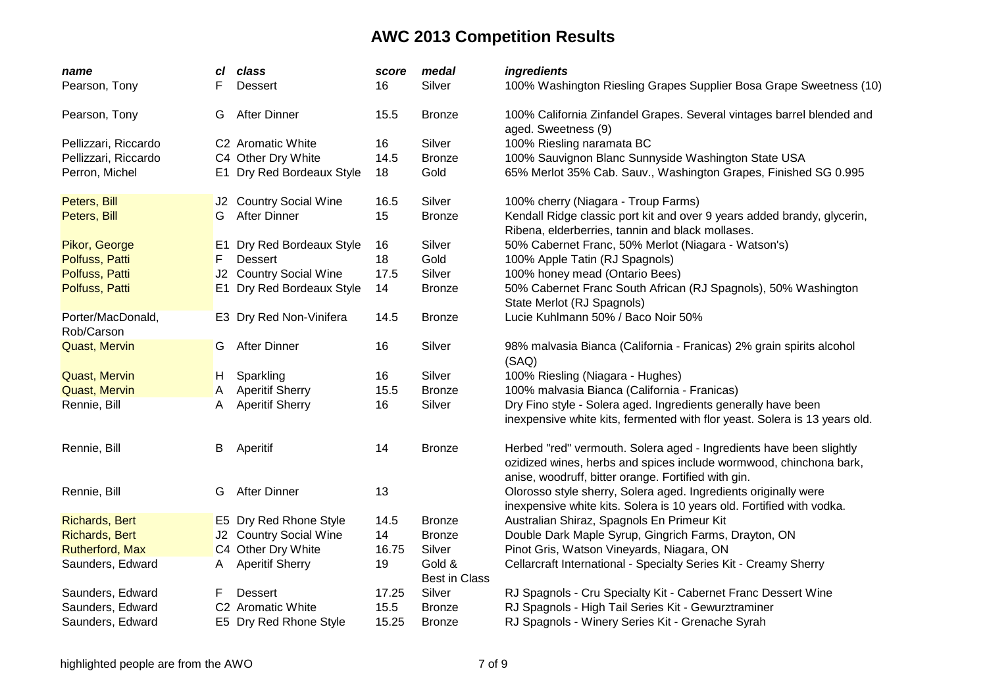| name                            | сI             | class                     | score | medal                | <i>ingredients</i>                                                                                                                                                                               |
|---------------------------------|----------------|---------------------------|-------|----------------------|--------------------------------------------------------------------------------------------------------------------------------------------------------------------------------------------------|
| Pearson, Tony                   |                | Dessert                   | 16    | Silver               | 100% Washington Riesling Grapes Supplier Bosa Grape Sweetness (10)                                                                                                                               |
| Pearson, Tony                   | G              | <b>After Dinner</b>       | 15.5  | <b>Bronze</b>        | 100% California Zinfandel Grapes. Several vintages barrel blended and<br>aged. Sweetness (9)                                                                                                     |
| Pellizzari, Riccardo            |                | C2 Aromatic White         | 16    | Silver               | 100% Riesling naramata BC                                                                                                                                                                        |
| Pellizzari, Riccardo            |                | C4 Other Dry White        | 14.5  | <b>Bronze</b>        | 100% Sauvignon Blanc Sunnyside Washington State USA                                                                                                                                              |
| Perron, Michel                  |                | E1 Dry Red Bordeaux Style | 18    | Gold                 | 65% Merlot 35% Cab. Sauv., Washington Grapes, Finished SG 0.995                                                                                                                                  |
| Peters, Bill                    |                | J2 Country Social Wine    | 16.5  | Silver               | 100% cherry (Niagara - Troup Farms)                                                                                                                                                              |
| Peters, Bill                    | G              | <b>After Dinner</b>       | 15    | <b>Bronze</b>        | Kendall Ridge classic port kit and over 9 years added brandy, glycerin,<br>Ribena, elderberries, tannin and black mollases.                                                                      |
| Pikor, George                   | E <sub>1</sub> | Dry Red Bordeaux Style    | 16    | Silver               | 50% Cabernet Franc, 50% Merlot (Niagara - Watson's)                                                                                                                                              |
| Polfuss, Patti                  | F              | <b>Dessert</b>            | 18    | Gold                 | 100% Apple Tatin (RJ Spagnols)                                                                                                                                                                   |
| Polfuss, Patti                  |                | J2 Country Social Wine    | 17.5  | Silver               | 100% honey mead (Ontario Bees)                                                                                                                                                                   |
| Polfuss, Patti                  | E <sub>1</sub> | Dry Red Bordeaux Style    | 14    | <b>Bronze</b>        | 50% Cabernet Franc South African (RJ Spagnols), 50% Washington<br>State Merlot (RJ Spagnols)                                                                                                     |
| Porter/MacDonald,<br>Rob/Carson |                | E3 Dry Red Non-Vinifera   | 14.5  | <b>Bronze</b>        | Lucie Kuhlmann 50% / Baco Noir 50%                                                                                                                                                               |
| <b>Quast, Mervin</b>            | G              | <b>After Dinner</b>       | 16    | Silver               | 98% malvasia Bianca (California - Franicas) 2% grain spirits alcohol<br>(SAQ)                                                                                                                    |
| <b>Quast, Mervin</b>            | H,             | Sparkling                 | 16    | Silver               | 100% Riesling (Niagara - Hughes)                                                                                                                                                                 |
| <b>Quast, Mervin</b>            | A              | <b>Aperitif Sherry</b>    | 15.5  | <b>Bronze</b>        | 100% malvasia Bianca (California - Franicas)                                                                                                                                                     |
| Rennie, Bill                    | A              | <b>Aperitif Sherry</b>    | 16    | Silver               | Dry Fino style - Solera aged. Ingredients generally have been                                                                                                                                    |
|                                 |                |                           |       |                      | inexpensive white kits, fermented with flor yeast. Solera is 13 years old.                                                                                                                       |
| Rennie, Bill                    | В              | Aperitif                  | 14    | <b>Bronze</b>        | Herbed "red" vermouth. Solera aged - Ingredients have been slightly<br>ozidized wines, herbs and spices include wormwood, chinchona bark,<br>anise, woodruff, bitter orange. Fortified with gin. |
| Rennie, Bill                    | G              | <b>After Dinner</b>       | 13    |                      | Olorosso style sherry, Solera aged. Ingredients originally were<br>inexpensive white kits. Solera is 10 years old. Fortified with vodka.                                                         |
| <b>Richards, Bert</b>           |                | E5 Dry Red Rhone Style    | 14.5  | <b>Bronze</b>        | Australian Shiraz, Spagnols En Primeur Kit                                                                                                                                                       |
| <b>Richards, Bert</b>           |                | J2 Country Social Wine    | 14    | <b>Bronze</b>        | Double Dark Maple Syrup, Gingrich Farms, Drayton, ON                                                                                                                                             |
| <b>Rutherford, Max</b>          |                | C4 Other Dry White        | 16.75 | Silver               | Pinot Gris, Watson Vineyards, Niagara, ON                                                                                                                                                        |
| Saunders, Edward                | A              | <b>Aperitif Sherry</b>    | 19    | Gold &               | Cellarcraft International - Specialty Series Kit - Creamy Sherry                                                                                                                                 |
|                                 |                |                           |       | <b>Best in Class</b> |                                                                                                                                                                                                  |
| Saunders, Edward                | F              | <b>Dessert</b>            | 17.25 | Silver               | RJ Spagnols - Cru Specialty Kit - Cabernet Franc Dessert Wine                                                                                                                                    |
| Saunders, Edward                |                | C2 Aromatic White         | 15.5  | <b>Bronze</b>        | RJ Spagnols - High Tail Series Kit - Gewurztraminer                                                                                                                                              |
| Saunders, Edward                |                | E5 Dry Red Rhone Style    | 15.25 | <b>Bronze</b>        | RJ Spagnols - Winery Series Kit - Grenache Syrah                                                                                                                                                 |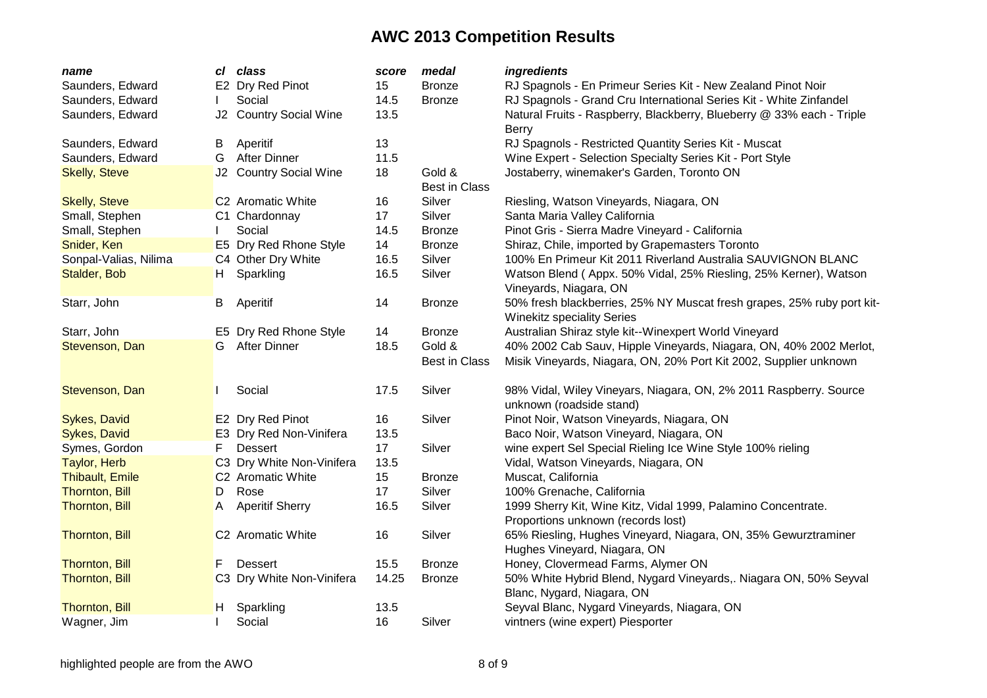| name                   | cl | class                         | score | medal                          | ingredients                                                                                                 |
|------------------------|----|-------------------------------|-------|--------------------------------|-------------------------------------------------------------------------------------------------------------|
| Saunders, Edward       |    | E2 Dry Red Pinot              | 15    | <b>Bronze</b>                  | RJ Spagnols - En Primeur Series Kit - New Zealand Pinot Noir                                                |
| Saunders, Edward       |    | Social                        | 14.5  | <b>Bronze</b>                  | RJ Spagnols - Grand Cru International Series Kit - White Zinfandel                                          |
| Saunders, Edward       |    | J2 Country Social Wine        | 13.5  |                                | Natural Fruits - Raspberry, Blackberry, Blueberry @ 33% each - Triple<br>Berry                              |
| Saunders, Edward       | В  | Aperitif                      | 13    |                                | RJ Spagnols - Restricted Quantity Series Kit - Muscat                                                       |
| Saunders, Edward       | G  | <b>After Dinner</b>           | 11.5  |                                | Wine Expert - Selection Specialty Series Kit - Port Style                                                   |
| <b>Skelly, Steve</b>   |    | J2 Country Social Wine        | 18    | Gold &<br><b>Best in Class</b> | Jostaberry, winemaker's Garden, Toronto ON                                                                  |
| <b>Skelly, Steve</b>   |    | C <sub>2</sub> Aromatic White | 16    | Silver                         | Riesling, Watson Vineyards, Niagara, ON                                                                     |
| Small, Stephen         |    | C1 Chardonnay                 | 17    | Silver                         | Santa Maria Valley California                                                                               |
| Small, Stephen         |    | Social                        | 14.5  | <b>Bronze</b>                  | Pinot Gris - Sierra Madre Vineyard - California                                                             |
| Snider, Ken            |    | E5 Dry Red Rhone Style        | 14    | <b>Bronze</b>                  | Shiraz, Chile, imported by Grapemasters Toronto                                                             |
| Sonpal-Valias, Nilima  |    | C4 Other Dry White            | 16.5  | Silver                         | 100% En Primeur Kit 2011 Riverland Australia SAUVIGNON BLANC                                                |
| Stalder, Bob           | H. | Sparkling                     | 16.5  | Silver                         | Watson Blend (Appx. 50% Vidal, 25% Riesling, 25% Kerner), Watson<br>Vineyards, Niagara, ON                  |
| Starr, John            | B  | Aperitif                      | 14    | <b>Bronze</b>                  | 50% fresh blackberries, 25% NY Muscat fresh grapes, 25% ruby port kit-<br><b>Winekitz speciality Series</b> |
| Starr, John            |    | E5 Dry Red Rhone Style        | 14    | <b>Bronze</b>                  | Australian Shiraz style kit--Winexpert World Vineyard                                                       |
| Stevenson, Dan         | G  | <b>After Dinner</b>           | 18.5  | Gold &                         | 40% 2002 Cab Sauv, Hipple Vineyards, Niagara, ON, 40% 2002 Merlot,                                          |
|                        |    |                               |       | <b>Best in Class</b>           | Misik Vineyards, Niagara, ON, 20% Port Kit 2002, Supplier unknown                                           |
| Stevenson, Dan         |    | Social                        | 17.5  | Silver                         | 98% Vidal, Wiley Vineyars, Niagara, ON, 2% 2011 Raspberry. Source<br>unknown (roadside stand)               |
| <b>Sykes, David</b>    |    | E2 Dry Red Pinot              | 16    | Silver                         | Pinot Noir, Watson Vineyards, Niagara, ON                                                                   |
| Sykes, David           |    | E3 Dry Red Non-Vinifera       | 13.5  |                                | Baco Noir, Watson Vineyard, Niagara, ON                                                                     |
| Symes, Gordon          | F  | <b>Dessert</b>                | 17    | Silver                         | wine expert Sel Special Rieling Ice Wine Style 100% rieling                                                 |
| Taylor, Herb           |    | C3 Dry White Non-Vinifera     | 13.5  |                                | Vidal, Watson Vineyards, Niagara, ON                                                                        |
| <b>Thibault, Emile</b> |    | C2 Aromatic White             | 15    | <b>Bronze</b>                  | Muscat, California                                                                                          |
| <b>Thornton, Bill</b>  | D  | Rose                          | 17    | Silver                         | 100% Grenache, California                                                                                   |
| Thornton, Bill         | A  | <b>Aperitif Sherry</b>        | 16.5  | Silver                         | 1999 Sherry Kit, Wine Kitz, Vidal 1999, Palamino Concentrate.                                               |
|                        |    |                               |       |                                | Proportions unknown (records lost)                                                                          |
| Thornton, Bill         |    | C2 Aromatic White             | 16    | Silver                         | 65% Riesling, Hughes Vineyard, Niagara, ON, 35% Gewurztraminer                                              |
|                        |    |                               |       |                                | Hughes Vineyard, Niagara, ON                                                                                |
| <b>Thornton, Bill</b>  | F  | <b>Dessert</b>                | 15.5  | <b>Bronze</b>                  | Honey, Clovermead Farms, Alymer ON                                                                          |
| <b>Thornton, Bill</b>  |    | C3 Dry White Non-Vinifera     | 14.25 | <b>Bronze</b>                  | 50% White Hybrid Blend, Nygard Vineyards,. Niagara ON, 50% Seyval                                           |
|                        |    |                               |       |                                | Blanc, Nygard, Niagara, ON                                                                                  |
| Thornton, Bill         | H. | Sparkling                     | 13.5  |                                | Seyval Blanc, Nygard Vineyards, Niagara, ON                                                                 |
| Wagner, Jim            |    | Social                        | 16    | Silver                         | vintners (wine expert) Piesporter                                                                           |